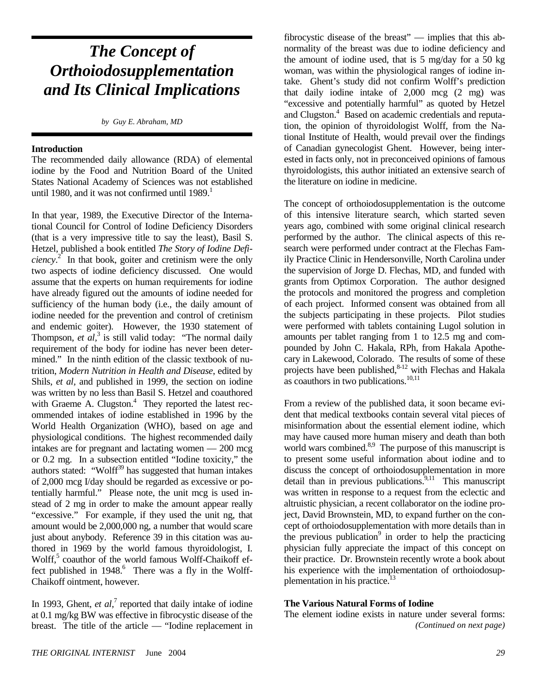# *The Concept of Orthoiodosupplementation and Its Clinical Implications*

*by Guy E. Abraham, MD*

#### **Introduction**

The recommended daily allowance (RDA) of elemental iodine by the Food and Nutrition Board of the United States National Academy of Sciences was not established until 1980, and it was not confirmed until  $1989<sup>1</sup>$ 

In that year, 1989, the Executive Director of the International Council for Control of Iodine Deficiency Disorders (that is a very impressive title to say the least), Basil S. Hetzel, published a book entitled *The Story of Iodine Deficiency*. 2 In that book, goiter and cretinism were the only two aspects of iodine deficiency discussed. One would assume that the experts on human requirements for iodine have already figured out the amounts of iodine needed for sufficiency of the human body (i.e., the daily amount of iodine needed for the prevention and control of cretinism and endemic goiter). However, the 1930 statement of Thompson, *et al*,<sup>3</sup> is still valid today: "The normal daily requirement of the body for iodine has never been determined." In the ninth edition of the classic textbook of nutrition, *Modern Nutrition in Health and Disease*, edited by Shils, *et al,* and published in 1999, the section on iodine was written by no less than Basil S. Hetzel and coauthored with Graeme A. Clugston.<sup>4</sup> They reported the latest recommended intakes of iodine established in 1996 by the World Health Organization (WHO), based on age and physiological conditions. The highest recommended daily intakes are for pregnant and lactating women — 200 mcg or 0.2 mg. In a subsection entitled "Iodine toxicity," the authors stated: "Wolff<sup>39</sup> has suggested that human intakes of 2,000 mcg I/day should be regarded as excessive or potentially harmful." Please note, the unit mcg is used instead of 2 mg in order to make the amount appear really "excessive." For example, if they used the unit ng, that amount would be 2,000,000 ng, a number that would scare just about anybody. Reference 39 in this citation was authored in 1969 by the world famous thyroidologist, I. Wolff,<sup>5</sup> coauthor of the world famous Wolff-Chaikoff effect published in  $1948$ .<sup>6</sup> There was a fly in the Wolff-Chaikoff ointment, however.

In 1993, Ghent,  $et \ al$ <sup>7</sup> reported that daily intake of iodine at 0.1 mg/kg BW was effective in fibrocystic disease of the breast. The title of the article — "Iodine replacement in

fibrocystic disease of the breast" — implies that this abnormality of the breast was due to iodine deficiency and the amount of iodine used, that is 5 mg/day for a 50 kg woman, was within the physiological ranges of iodine intake. Ghent's study did not confirm Wolff's prediction that daily iodine intake of 2,000 mcg (2 mg) was "excessive and potentially harmful" as quoted by Hetzel and Clugston.<sup>4</sup> Based on academic credentials and reputation, the opinion of thyroidologist Wolff, from the National Institute of Health, would prevail over the findings of Canadian gynecologist Ghent. However, being interested in facts only, not in preconceived opinions of famous thyroidologists, this author initiated an extensive search of the literature on iodine in medicine.

The concept of orthoiodosupplementation is the outcome of this intensive literature search, which started seven years ago, combined with some original clinical research performed by the author. The clinical aspects of this research were performed under contract at the Flechas Family Practice Clinic in Hendersonville, North Carolina under the supervision of Jorge D. Flechas, MD, and funded with grants from Optimox Corporation. The author designed the protocols and monitored the progress and completion of each project. Informed consent was obtained from all the subjects participating in these projects. Pilot studies were performed with tablets containing Lugol solution in amounts per tablet ranging from 1 to 12.5 mg and compounded by John C. Hakala, RPh, from Hakala Apothecary in Lakewood, Colorado. The results of some of these projects have been published,<sup>8-12</sup> with Flechas and Hakala as coauthors in two publications. $10,11$ 

From a review of the published data, it soon became evident that medical textbooks contain several vital pieces of misinformation about the essential element iodine, which may have caused more human misery and death than both world wars combined. $8.9$  The purpose of this manuscript is to present some useful information about iodine and to discuss the concept of orthoiodosupplementation in more  $d$  detail than in previous publications.<sup>9,11</sup> This manuscript was written in response to a request from the eclectic and altruistic physician, a recent collaborator on the iodine project, David Brownstein, MD, to expand further on the concept of orthoiodosupplementation with more details than in the previous publication<sup>9</sup> in order to help the practicing physician fully appreciate the impact of this concept on their practice. Dr. Brownstein recently wrote a book about his experience with the implementation of orthoiodosupplementation in his practice.<sup>13</sup>

## **The Various Natural Forms of Iodine**

The element iodine exists in nature under several forms: *(Continued on next page)*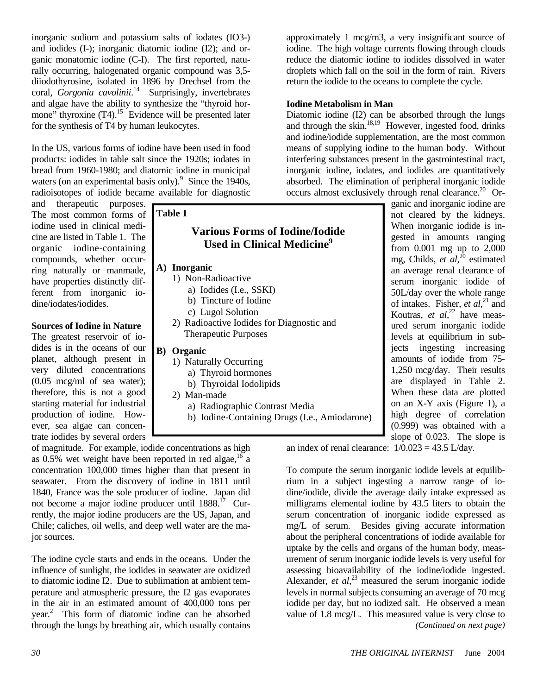inorganic sodium and potassium salts of iodates (IO3-) and iodides (I-); inorganic diatomic iodine (I2); and organic monatomic iodine (C-I). The first reported, naturally occurring, halogenated organic compound was 3,5 diiodothyrosine, isolated in 1896 by Drechsel from the coral, *Gorgonia cavolinii*. 14 Surprisingly, invertebrates and algae have the ability to synthesize the "thyroid hormone" thyroxine  $(T4)$ <sup>15</sup> Evidence will be presented later for the synthesis of T4 by human leukocytes.

In the US, various forms of iodine have been used in food products: iodides in table salt since the 1920s; iodates in bread from 1960-1980; and diatomic iodine in municipal waters (on an experimental basis only). $9$  Since the 1940s, radioisotopes of iodide became available for diagnostic

and therapeutic purposes. The most common forms of iodine used in clinical medicine are listed in Table 1. The organic iodine-containing compounds, whether occurring naturally or manmade, have properties distinctly different from inorganic iodine/iodates/iodides.

## **Sources of Iodine in Nature**

The greatest reservoir of iodides is in the oceans of our planet, although present in very diluted concentrations (0.05 mcg/ml of sea water); therefore, this is not a good starting material for industrial production of iodine. However, sea algae can concentrate iodides by several orders

| <b>Table 1</b>                                                                                                                                                                           |
|------------------------------------------------------------------------------------------------------------------------------------------------------------------------------------------|
| <b>Various Forms of Iodine/Iodide</b><br><b>Used in Clinical Medicine</b> <sup>9</sup>                                                                                                   |
| A) Inorganic<br>1) Non-Radioactive<br>a) Iodides (I.e., SSKI)<br>b) Tincture of Iodine                                                                                                   |
| c) Lugol Solution<br>2) Radioactive Iodides for Diagnostic and<br><b>Therapeutic Purposes</b>                                                                                            |
| B) Organic<br>1) Naturally Occurring<br>a) Thyroid hormones<br>b) Thyroidal Iodolipids<br>2) Man-made<br>a) Radiographic Contrast Media<br>b) Iodine-Containing Drugs (I.e., Amiodarone) |

of magnitude. For example, iodide concentrations as high as  $0.5\%$  wet weight have been reported in red algae, <sup>16</sup> a concentration 100,000 times higher than that present in seawater. From the discovery of iodine in 1811 until 1840, France was the sole producer of iodine. Japan did not become a major iodine producer until 1888.<sup>17</sup> Currently, the major iodine producers are the US, Japan, and Chile; caliches, oil wells, and deep well water are the major sources.

The iodine cycle starts and ends in the oceans. Under the influence of sunlight, the iodides in seawater are oxidized to diatomic iodine I2. Due to sublimation at ambient temperature and atmospheric pressure, the I2 gas evaporates in the air in an estimated amount of 400,000 tons per year.<sup>2</sup> This form of diatomic iodine can be absorbed through the lungs by breathing air, which usually contains

approximately 1 mcg/m3, a very insignificant source of iodine. The high voltage currents flowing through clouds reduce the diatomic iodine to iodides dissolved in water droplets which fall on the soil in the form of rain. Rivers return the iodide to the oceans to complete the cycle.

## **Iodine Metabolism in Man**

Diatomic iodine (I2) can be absorbed through the lungs and through the skin.<sup>18,19</sup> However, ingested food, drinks and iodine/iodide supplementation, are the most common means of supplying iodine to the human body. Without interfering substances present in the gastrointestinal tract, inorganic iodine, iodates, and iodides are quantitatively absorbed. The elimination of peripheral inorganic iodide occurs almost exclusively through renal clearance.<sup>20</sup> Or-

ganic and inorganic iodine are not cleared by the kidneys. When inorganic iodide is ingested in amounts ranging from 0.001 mg up to 2,000 mg, Childs, *et al*, 20 estimated an average renal clearance of serum inorganic iodide of 50L/day over the whole range of intakes. Fisher, *et al*, 21 and Koutras, *et al*, 22 have measured serum inorganic iodide levels at equilibrium in subjects ingesting increasing amounts of iodide from 75- 1,250 mcg/day. Their results are displayed in Table 2. When these data are plotted on an X-Y axis (Figure 1), a high degree of correlation (0.999) was obtained with a slope of 0.023. The slope is

an index of renal clearance:  $1/0.023 = 43.5$  L/day.

To compute the serum inorganic iodide levels at equilibrium in a subject ingesting a narrow range of iodine/iodide, divide the average daily intake expressed as milligrams elemental iodine by 43.5 liters to obtain the serum concentration of inorganic iodide expressed as mg/L of serum. Besides giving accurate information about the peripheral concentrations of iodide available for uptake by the cells and organs of the human body, measurement of serum inorganic iodide levels is very useful for assessing bioavailability of the iodine/iodide ingested. Alexander, *et al*, 23 measured the serum inorganic iodide levels in normal subjects consuming an average of 70 mcg iodide per day, but no iodized salt. He observed a mean value of 1.8 mcg/L. This measured value is very close to *(Continued on next page)*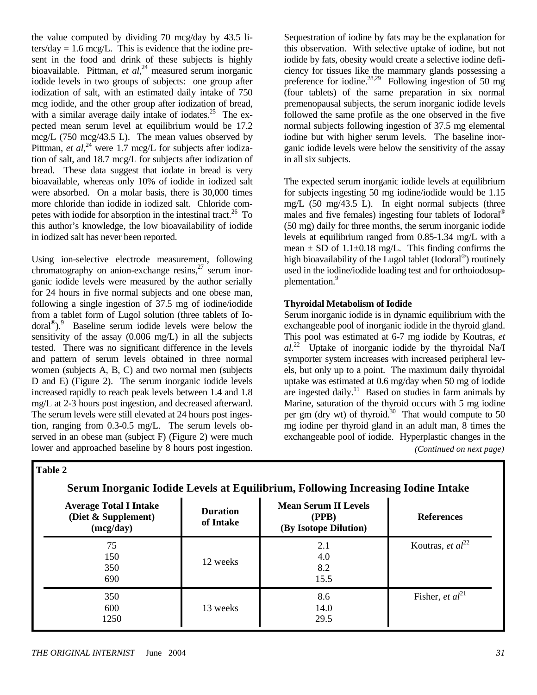the value computed by dividing 70 mcg/day by 43.5 liters/day  $= 1.6$  mcg/L. This is evidence that the iodine present in the food and drink of these subjects is highly bioavailable. Pittman, *et al*, 24 measured serum inorganic iodide levels in two groups of subjects: one group after iodization of salt, with an estimated daily intake of 750 mcg iodide, and the other group after iodization of bread, with a similar average daily intake of iodates.<sup>25</sup> The expected mean serum level at equilibrium would be 17.2 mcg/L (750 mcg/43.5 L). The mean values observed by Pittman, *et al*,<sup>24</sup> were 1.7 mcg/L for subjects after iodization of salt, and 18.7 mcg/L for subjects after iodization of bread. These data suggest that iodate in bread is very bioavailable, whereas only 10% of iodide in iodized salt were absorbed. On a molar basis, there is 30,000 times more chloride than iodide in iodized salt. Chloride competes with iodide for absorption in the intestinal tract.<sup>26</sup> To this author's knowledge, the low bioavailability of iodide in iodized salt has never been reported.

Using ion-selective electrode measurement, following chromatography on anion-exchange resins, $^{27}$  serum inorganic iodide levels were measured by the author serially for 24 hours in five normal subjects and one obese man, following a single ingestion of 37.5 mg of iodine/iodide from a tablet form of Lugol solution (three tablets of Iodoral®).9 Baseline serum iodide levels were below the sensitivity of the assay (0.006 mg/L) in all the subjects tested. There was no significant difference in the levels and pattern of serum levels obtained in three normal women (subjects A, B, C) and two normal men (subjects D and E) (Figure 2). The serum inorganic iodide levels increased rapidly to reach peak levels between 1.4 and 1.8 mg/L at 2-3 hours post ingestion, and decreased afterward. The serum levels were still elevated at 24 hours post ingestion, ranging from 0.3-0.5 mg/L. The serum levels observed in an obese man (subject F) (Figure 2) were much lower and approached baseline by 8 hours post ingestion.

Sequestration of iodine by fats may be the explanation for this observation. With selective uptake of iodine, but not iodide by fats, obesity would create a selective iodine deficiency for tissues like the mammary glands possessing a preference for iodine.<sup>28,29</sup> Following ingestion of 50 mg (four tablets) of the same preparation in six normal premenopausal subjects, the serum inorganic iodide levels followed the same profile as the one observed in the five normal subjects following ingestion of 37.5 mg elemental iodine but with higher serum levels. The baseline inorganic iodide levels were below the sensitivity of the assay in all six subjects.

The expected serum inorganic iodide levels at equilibrium for subjects ingesting 50 mg iodine/iodide would be 1.15 mg/L (50 mg/43.5 L). In eight normal subjects (three males and five females) ingesting four tablets of Iodoral<sup>®</sup> (50 mg) daily for three months, the serum inorganic iodide levels at equilibrium ranged from 0.85-1.34 mg/L with a mean  $\pm$  SD of 1.1 $\pm$ 0.18 mg/L. This finding confirms the high bioavailability of the Lugol tablet (Iodoral<sup>®</sup>) routinely used in the iodine/iodide loading test and for orthoiodosupplementation.<sup>9</sup>

## **Thyroidal Metabolism of Iodide**

Serum inorganic iodide is in dynamic equilibrium with the exchangeable pool of inorganic iodide in the thyroid gland. This pool was estimated at 6-7 mg iodide by Koutras, *et al*. 22 Uptake of inorganic iodide by the thyroidal Na/I symporter system increases with increased peripheral levels, but only up to a point. The maximum daily thyroidal uptake was estimated at 0.6 mg/day when 50 mg of iodide are ingested daily.<sup>11</sup> Based on studies in farm animals by Marine, saturation of the thyroid occurs with 5 mg iodine per gm (dry wt) of thyroid.<sup>30</sup> That would compute to 50 mg iodine per thyroid gland in an adult man, 8 times the exchangeable pool of iodide. Hyperplastic changes in the *(Continued on next page)* 

**Table 2** 

| <b>Average Total I Intake</b><br>(Diet & Supplement)<br>(mcg/day) | <b>Duration</b><br>of Intake | <b>Mean Serum II Levels</b><br>(PPB)<br>(By Isotope Dilution) | <b>References</b>     |
|-------------------------------------------------------------------|------------------------------|---------------------------------------------------------------|-----------------------|
| 75<br>150<br>350<br>690                                           | 12 weeks                     | 2.1<br>4.0<br>8.2<br>15.5                                     | Koutras, et $al^{22}$ |
| 350<br>600<br>1250                                                | 13 weeks                     | 8.6<br>14.0<br>29.5                                           | Fisher, et $al^{21}$  |

**Serum Inorganic Iodide Levels at Equilibrium, Following Increasing Iodine Intake**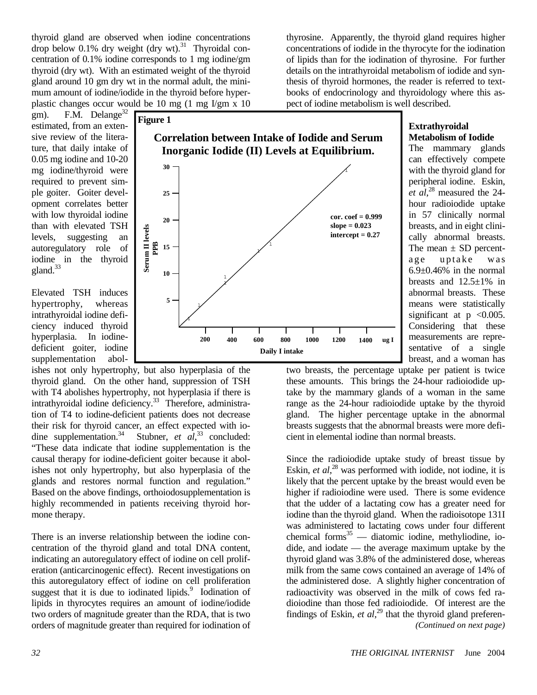thyroid gland are observed when iodine concentrations drop below 0.1% dry weight (dry wt).<sup>31</sup> Thyroidal concentration of 0.1% iodine corresponds to 1 mg iodine/gm thyroid (dry wt). With an estimated weight of the thyroid gland around 10 gm dry wt in the normal adult, the minimum amount of iodine/iodide in the thyroid before hyperplastic changes occur would be 10 mg (1 mg I/gm x 10

gm). F.M. Delange<sup>32</sup> estimated, from an extensive review of the literature, that daily intake of 0.05 mg iodine and 10-20 mg iodine/thyroid were required to prevent simple goiter. Goiter development correlates better with low thyroidal iodine than with elevated TSH levels, suggesting an autoregulatory role of iodine in the thyroid gland.<sup>33</sup>

Elevated TSH induces hypertrophy, whereas intrathyroidal iodine deficiency induced thyroid hyperplasia. In iodinedeficient goiter, iodine supplementation abol-

ishes not only hypertrophy, but also hyperplasia of the thyroid gland. On the other hand, suppression of TSH with T<sub>4</sub> abolishes hypertrophy, not hyperplasia if there is intrathyroidal iodine deficiency.<sup>33</sup> Therefore, administration of T4 to iodine-deficient patients does not decrease their risk for thyroid cancer, an effect expected with iodine supplementation.<sup>34</sup> Stubner, *et al*,<sup>33</sup> concluded: "These data indicate that iodine supplementation is the causal therapy for iodine-deficient goiter because it abolishes not only hypertrophy, but also hyperplasia of the glands and restores normal function and regulation." Based on the above findings, orthoiodosupplementation is highly recommended in patients receiving thyroid hormone therapy.

There is an inverse relationship between the iodine concentration of the thyroid gland and total DNA content, indicating an autoregulatory effect of iodine on cell proliferation (anticarcinogenic effect). Recent investigations on this autoregulatory effect of iodine on cell proliferation suggest that it is due to iodinated lipids.<sup>9</sup> Iodination of lipids in thyrocytes requires an amount of iodine/iodide two orders of magnitude greater than the RDA, that is two orders of magnitude greater than required for iodination of



thyrosine. Apparently, the thyroid gland requires higher concentrations of iodide in the thyrocyte for the iodination of lipids than for the iodination of thyrosine. For further details on the intrathyroidal metabolism of iodide and synthesis of thyroid hormones, the reader is referred to textbooks of endocrinology and thyroidology where this aspect of iodine metabolism is well described.

# **Extrathyroidal Metabolism of Iodide**

The mammary glands can effectively compete with the thyroid gland for peripheral iodine. Eskin, *et al*, 28 measured the 24 hour radioiodide uptake in 57 clinically normal breasts, and in eight clinically abnormal breasts. The mean  $\pm$  SD percentage uptake was 6.9±0.46% in the normal breasts and  $12.5 \pm 1\%$  in abnormal breasts. These means were statistically significant at  $p \leq 0.005$ . Considering that these measurements are representative of a single breast, and a woman has

two breasts, the percentage uptake per patient is twice these amounts. This brings the 24-hour radioiodide uptake by the mammary glands of a woman in the same range as the 24-hour radioiodide uptake by the thyroid gland. The higher percentage uptake in the abnormal breasts suggests that the abnormal breasts were more deficient in elemental iodine than normal breasts.

Since the radioiodide uptake study of breast tissue by Eskin, *et al*,<sup>28</sup> was performed with iodide, not iodine, it is likely that the percent uptake by the breast would even be higher if radioiodine were used. There is some evidence that the udder of a lactating cow has a greater need for iodine than the thyroid gland. When the radioisotope 131I was administered to lactating cows under four different chemical forms $35$  — diatomic iodine, methyliodine, iodide, and iodate — the average maximum uptake by the thyroid gland was 3.8% of the administered dose, whereas milk from the same cows contained an average of 14% of the administered dose. A slightly higher concentration of radioactivity was observed in the milk of cows fed radioiodine than those fed radioiodide. Of interest are the findings of Eskin, *et al*, 29 that the thyroid gland preferen- *(Continued on next page)*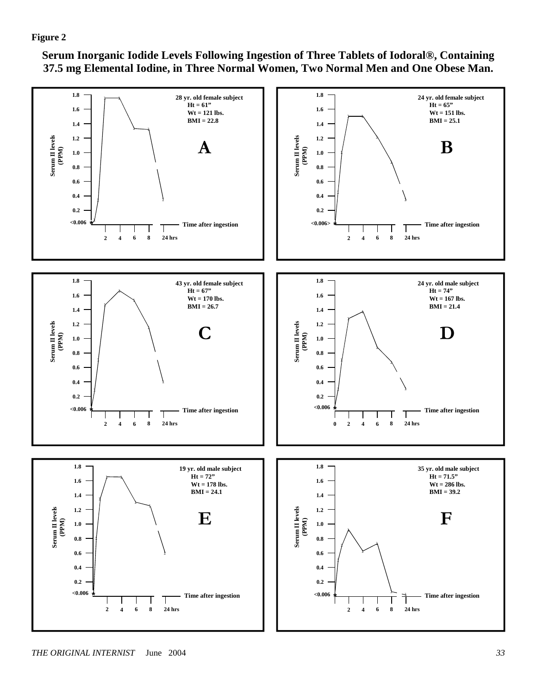**Serum Inorganic Iodide Levels Following Ingestion of Three Tablets of Iodoral®, Containing 37.5 mg Elemental Iodine, in Three Normal Women, Two Normal Men and One Obese Man.**

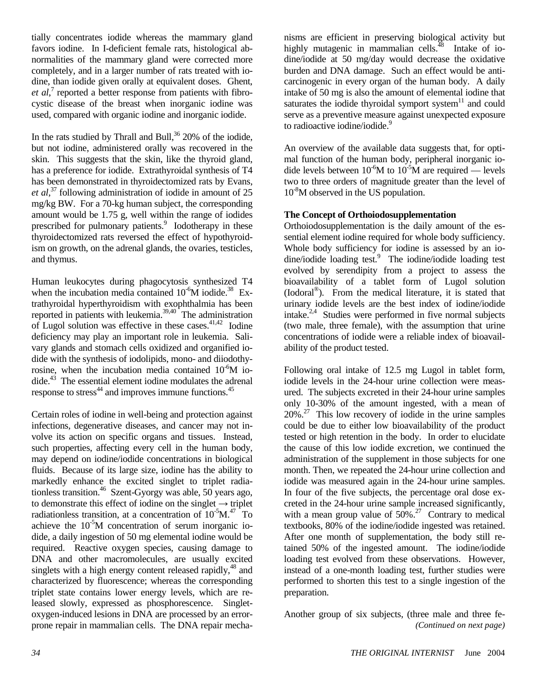tially concentrates iodide whereas the mammary gland favors iodine. In I-deficient female rats, histological abnormalities of the mammary gland were corrected more completely, and in a larger number of rats treated with iodine, than iodide given orally at equivalent doses. Ghent, et al,<sup>7</sup> reported a better response from patients with fibrocystic disease of the breast when inorganic iodine was used, compared with organic iodine and inorganic iodide.

In the rats studied by Thrall and Bull, $36$  20% of the iodide, but not iodine, administered orally was recovered in the skin. This suggests that the skin, like the thyroid gland, has a preference for iodide. Extrathyroidal synthesis of T4 has been demonstrated in thyroidectomized rats by Evans, *et al*, 37 following administration of iodide in amount of 25 mg/kg BW. For a 70-kg human subject, the corresponding amount would be 1.75 g, well within the range of iodides prescribed for pulmonary patients.<sup>9</sup> Iodotherapy in these thyroidectomized rats reversed the effect of hypothyroidism on growth, on the adrenal glands, the ovaries, testicles, and thymus.

Human leukocytes during phagocytosis synthesized T4 when the incubation media contained  $10^{-6}$ M iodide.<sup>38</sup> Extrathyroidal hyperthyroidism with exophthalmia has been reported in patients with leukemia. $39,40$  The administration of Lugol solution was effective in these cases. $41,42$  Iodine deficiency may play an important role in leukemia. Salivary glands and stomach cells oxidized and organified iodide with the synthesis of iodolipids, mono- and diiodothyrosine, when the incubation media contained  $10^{-6}$ M iodide. $43$  The essential element iodine modulates the adrenal response to stress<sup>44</sup> and improves immune functions.<sup>45</sup>

Certain roles of iodine in well-being and protection against infections, degenerative diseases, and cancer may not involve its action on specific organs and tissues. Instead, such properties, affecting every cell in the human body, may depend on iodine/iodide concentrations in biological fluids. Because of its large size, iodine has the ability to markedly enhance the excited singlet to triplet radiationless transition.46 Szent-Gyorgy was able, 50 years ago, to demonstrate this effect of iodine on the singlet  $\rightarrow$  triplet radiationless transition, at a concentration of  $10^{-5}M<sup>47</sup>$  To achieve the  $10^{-5}M$  concentration of serum inorganic iodide, a daily ingestion of 50 mg elemental iodine would be required. Reactive oxygen species, causing damage to DNA and other macromolecules, are usually excited singlets with a high energy content released rapidly,<sup>48</sup> and characterized by fluorescence; whereas the corresponding triplet state contains lower energy levels, which are released slowly, expressed as phosphorescence. Singletoxygen-induced lesions in DNA are processed by an errorprone repair in mammalian cells. The DNA repair mecha-

nisms are efficient in preserving biological activity but highly mutagenic in mammalian cells.<sup> $48$ </sup> Intake of iodine/iodide at 50 mg/day would decrease the oxidative burden and DNA damage. Such an effect would be anticarcinogenic in every organ of the human body. A daily intake of 50 mg is also the amount of elemental iodine that saturates the iodide thyroidal symport system $11$  and could serve as a preventive measure against unexpected exposure to radioactive iodine/iodide.<sup>9</sup>

An overview of the available data suggests that, for optimal function of the human body, peripheral inorganic iodide levels between  $10^{-6}M$  to  $10^{-5}M$  are required — levels two to three orders of magnitude greater than the level of 10<sup>-8</sup>M observed in the US population.

# **The Concept of Orthoiodosupplementation**

Orthoiodosupplementation is the daily amount of the essential element iodine required for whole body sufficiency. Whole body sufficiency for iodine is assessed by an iodine/iodide loading test.<sup>9</sup> The iodine/iodide loading test evolved by serendipity from a project to assess the bioavailability of a tablet form of Lugol solution (Iodoral®). From the medical literature, it is stated that urinary iodide levels are the best index of iodine/iodide intake. $2.4$  Studies were performed in five normal subjects (two male, three female), with the assumption that urine concentrations of iodide were a reliable index of bioavailability of the product tested.

Following oral intake of 12.5 mg Lugol in tablet form, iodide levels in the 24-hour urine collection were measured. The subjects excreted in their 24-hour urine samples only 10-30% of the amount ingested, with a mean of  $20\%$ <sup>27</sup> This low recovery of iodide in the urine samples could be due to either low bioavailability of the product tested or high retention in the body. In order to elucidate the cause of this low iodide excretion, we continued the administration of the supplement in those subjects for one month. Then, we repeated the 24-hour urine collection and iodide was measured again in the 24-hour urine samples. In four of the five subjects, the percentage oral dose excreted in the 24-hour urine sample increased significantly, with a mean group value of  $50\%$ .<sup>27</sup> Contrary to medical textbooks, 80% of the iodine/iodide ingested was retained. After one month of supplementation, the body still retained 50% of the ingested amount. The iodine/iodide loading test evolved from these observations. However, instead of a one-month loading test, further studies were performed to shorten this test to a single ingestion of the preparation.

Another group of six subjects, (three male and three fe- *(Continued on next page)*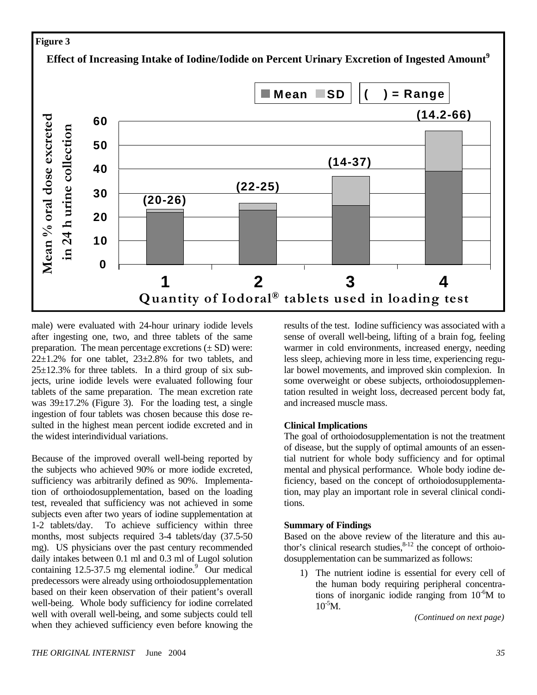# **Figure 3**

**Effect of Increasing Intake of Iodine/Iodide on Percent Urinary Excretion of Ingested Amount<sup>9</sup>**



male) were evaluated with 24-hour urinary iodide levels after ingesting one, two, and three tablets of the same preparation. The mean percentage excretions  $(\pm SD)$  were:  $22\pm1.2\%$  for one tablet,  $23\pm2.8\%$  for two tablets, and  $25\pm12.3\%$  for three tablets. In a third group of six subjects, urine iodide levels were evaluated following four tablets of the same preparation. The mean excretion rate was  $39\pm17.2\%$  (Figure 3). For the loading test, a single ingestion of four tablets was chosen because this dose resulted in the highest mean percent iodide excreted and in the widest interindividual variations.

Because of the improved overall well-being reported by the subjects who achieved 90% or more iodide excreted, sufficiency was arbitrarily defined as 90%. Implementation of orthoiodosupplementation, based on the loading test, revealed that sufficiency was not achieved in some subjects even after two years of iodine supplementation at 1-2 tablets/day. To achieve sufficiency within three months, most subjects required 3-4 tablets/day (37.5-50) mg). US physicians over the past century recommended daily intakes between 0.1 ml and 0.3 ml of Lugol solution containing  $12.5 - 37.5$  mg elemental iodine.  $\overset{9}{\circ}$  Our medical predecessors were already using orthoiodosupplementation based on their keen observation of their patient's overall well-being. Whole body sufficiency for iodine correlated well with overall well-being, and some subjects could tell when they achieved sufficiency even before knowing the

results of the test. Iodine sufficiency was associated with a sense of overall well-being, lifting of a brain fog, feeling warmer in cold environments, increased energy, needing less sleep, achieving more in less time, experiencing regular bowel movements, and improved skin complexion. In some overweight or obese subjects, orthoiodosupplementation resulted in weight loss, decreased percent body fat, and increased muscle mass.

## **Clinical Implications**

The goal of orthoiodosupplementation is not the treatment of disease, but the supply of optimal amounts of an essential nutrient for whole body sufficiency and for optimal mental and physical performance. Whole body iodine deficiency, based on the concept of orthoiodosupplementation, may play an important role in several clinical conditions.

#### **Summary of Findings**

Based on the above review of the literature and this author's clinical research studies, $8-12$  the concept of orthoiodosupplementation can be summarized as follows:

1) The nutrient iodine is essential for every cell of the human body requiring peripheral concentrations of inorganic iodide ranging from  $10^{-6}$ M to  $10^{-5}$ M.

*(Continued on next page)*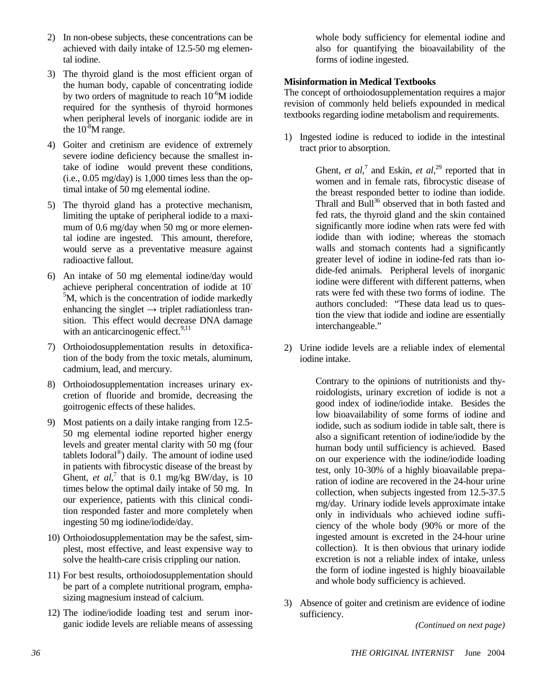- 2) In non-obese subjects, these concentrations can be achieved with daily intake of 12.5-50 mg elemental iodine.
- 3) The thyroid gland is the most efficient organ of the human body, capable of concentrating iodide by two orders of magnitude to reach  $10^{-6}$ M iodide required for the synthesis of thyroid hormones when peripheral levels of inorganic iodide are in the  $10^{-8}$ M range.
- 4) Goiter and cretinism are evidence of extremely severe iodine deficiency because the smallest intake of iodine would prevent these conditions, (i.e., 0.05 mg/day) is 1,000 times less than the optimal intake of 50 mg elemental iodine.
- 5) The thyroid gland has a protective mechanism, limiting the uptake of peripheral iodide to a maximum of 0.6 mg/day when 50 mg or more elemental iodine are ingested. This amount, therefore, would serve as a preventative measure against radioactive fallout.
- 6) An intake of 50 mg elemental iodine/day would achieve peripheral concentration of iodide at 10- <sup>5</sup>M, which is the concentration of iodide markedly enhancing the singlet  $\rightarrow$  triplet radiationless transition. This effect would decrease DNA damage with an anticarcinogenic effect. $9,11$
- 7) Orthoiodosupplementation results in detoxification of the body from the toxic metals, aluminum, cadmium, lead, and mercury.
- 8) Orthoiodosupplementation increases urinary excretion of fluoride and bromide, decreasing the goitrogenic effects of these halides.
- 9) Most patients on a daily intake ranging from 12.5- 50 mg elemental iodine reported higher energy levels and greater mental clarity with 50 mg (four tablets Iodoral®) daily. The amount of iodine used in patients with fibrocystic disease of the breast by Ghent, *et al*,<sup>7</sup> that is 0.1 mg/kg BW/day, is 10 times below the optimal daily intake of 50 mg. In our experience, patients with this clinical condition responded faster and more completely when ingesting 50 mg iodine/iodide/day.
- 10) Orthoiodosupplementation may be the safest, simplest, most effective, and least expensive way to solve the health-care crisis crippling our nation.
- 11) For best results, orthoiodosupplementation should be part of a complete nutritional program, emphasizing magnesium instead of calcium.
- 12) The iodine/iodide loading test and serum inorganic iodide levels are reliable means of assessing

whole body sufficiency for elemental iodine and also for quantifying the bioavailability of the forms of iodine ingested.

# **Misinformation in Medical Textbooks**

The concept of orthoiodosupplementation requires a major revision of commonly held beliefs expounded in medical textbooks regarding iodine metabolism and requirements.

1) Ingested iodine is reduced to iodide in the intestinal tract prior to absorption.

> Ghent, *et al*,<sup>7</sup> and Eskin, *et al*,<sup>29</sup> reported that in women and in female rats, fibrocystic disease of the breast responded better to iodine than iodide. Thrall and Bull<sup>36</sup> observed that in both fasted and fed rats, the thyroid gland and the skin contained significantly more iodine when rats were fed with iodide than with iodine; whereas the stomach walls and stomach contents had a significantly greater level of iodine in iodine-fed rats than iodide-fed animals. Peripheral levels of inorganic iodine were different with different patterns, when rats were fed with these two forms of iodine. The authors concluded: "These data lead us to question the view that iodide and iodine are essentially interchangeable."

2) Urine iodide levels are a reliable index of elemental iodine intake.

> Contrary to the opinions of nutritionists and thyroidologists, urinary excretion of iodide is not a good index of iodine/iodide intake. Besides the low bioavailability of some forms of iodine and iodide, such as sodium iodide in table salt, there is also a significant retention of iodine/iodide by the human body until sufficiency is achieved. Based on our experience with the iodine/iodide loading test, only 10-30% of a highly bioavailable preparation of iodine are recovered in the 24-hour urine collection, when subjects ingested from 12.5-37.5 mg/day. Urinary iodide levels approximate intake only in individuals who achieved iodine sufficiency of the whole body (90% or more of the ingested amount is excreted in the 24-hour urine collection). It is then obvious that urinary iodide excretion is not a reliable index of intake, unless the form of iodine ingested is highly bioavailable and whole body sufficiency is achieved.

3) Absence of goiter and cretinism are evidence of iodine sufficiency.

*(Continued on next page)*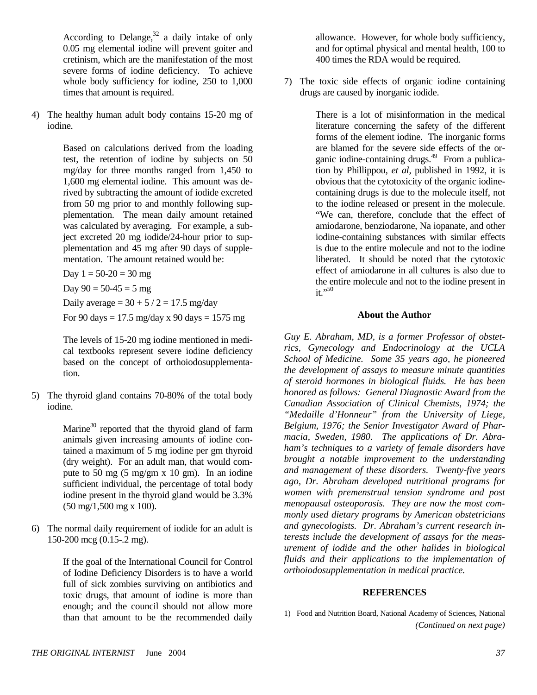According to Delange,  $32$  a daily intake of only 0.05 mg elemental iodine will prevent goiter and cretinism, which are the manifestation of the most severe forms of iodine deficiency. To achieve whole body sufficiency for iodine, 250 to 1,000 times that amount is required.

4) The healthy human adult body contains 15-20 mg of iodine.

> Based on calculations derived from the loading test, the retention of iodine by subjects on 50 mg/day for three months ranged from 1,450 to 1,600 mg elemental iodine. This amount was derived by subtracting the amount of iodide excreted from 50 mg prior to and monthly following supplementation. The mean daily amount retained was calculated by averaging. For example, a subject excreted 20 mg iodide/24-hour prior to supplementation and 45 mg after 90 days of supplementation. The amount retained would be:

Day  $1 = 50 - 20 = 30$  mg

Day  $90 = 50 - 45 = 5$  mg

Daily average =  $30 + 5 / 2 = 17.5$  mg/day

For 90 days =  $17.5 \text{ mg/day}$  x 90 days =  $1575 \text{ mg}$ 

The levels of 15-20 mg iodine mentioned in medical textbooks represent severe iodine deficiency based on the concept of orthoiodosupplementation.

5) The thyroid gland contains 70-80% of the total body iodine.

> Marine $30$  reported that the thyroid gland of farm animals given increasing amounts of iodine contained a maximum of 5 mg iodine per gm thyroid (dry weight). For an adult man, that would compute to 50 mg (5 mg/gm x 10 gm). In an iodine sufficient individual, the percentage of total body iodine present in the thyroid gland would be 3.3% (50 mg/1,500 mg x 100).

6) The normal daily requirement of iodide for an adult is 150-200 mcg (0.15-.2 mg).

> If the goal of the International Council for Control of Iodine Deficiency Disorders is to have a world full of sick zombies surviving on antibiotics and toxic drugs, that amount of iodine is more than enough; and the council should not allow more than that amount to be the recommended daily

allowance. However, for whole body sufficiency, and for optimal physical and mental health, 100 to 400 times the RDA would be required.

7) The toxic side effects of organic iodine containing drugs are caused by inorganic iodide.

> There is a lot of misinformation in the medical literature concerning the safety of the different forms of the element iodine. The inorganic forms are blamed for the severe side effects of the organic iodine-containing drugs. $49$  From a publication by Phillippou, *et al*, published in 1992, it is obvious that the cytotoxicity of the organic iodinecontaining drugs is due to the molecule itself, not to the iodine released or present in the molecule. "We can, therefore, conclude that the effect of amiodarone, benziodarone, Na iopanate, and other iodine-containing substances with similar effects is due to the entire molecule and not to the iodine liberated. It should be noted that the cytotoxic effect of amiodarone in all cultures is also due to the entire molecule and not to the iodine present in  $\mathbf{t}$ ,  $\mathbf{t}$ ,  $\mathbf{t}$

#### **About the Author**

*Guy E. Abraham, MD, is a former Professor of obstetrics, Gynecology and Endocrinology at the UCLA School of Medicine. Some 35 years ago, he pioneered the development of assays to measure minute quantities of steroid hormones in biological fluids. He has been honored as follows: General Diagnostic Award from the Canadian Association of Clinical Chemists, 1974; the "Medaille d'Honneur" from the University of Liege, Belgium, 1976; the Senior Investigator Award of Pharmacia, Sweden, 1980. The applications of Dr. Abraham's techniques to a variety of female disorders have brought a notable improvement to the understanding and management of these disorders. Twenty-five years ago, Dr. Abraham developed nutritional programs for women with premenstrual tension syndrome and post menopausal osteoporosis. They are now the most commonly used dietary programs by American obstetricians and gynecologists. Dr. Abraham's current research interests include the development of assays for the measurement of iodide and the other halides in biological fluids and their applications to the implementation of orthoiodosupplementation in medical practice.* 

#### **REFERENCES**

<sup>1)</sup> Food and Nutrition Board, National Academy of Sciences, National *(Continued on next page)*